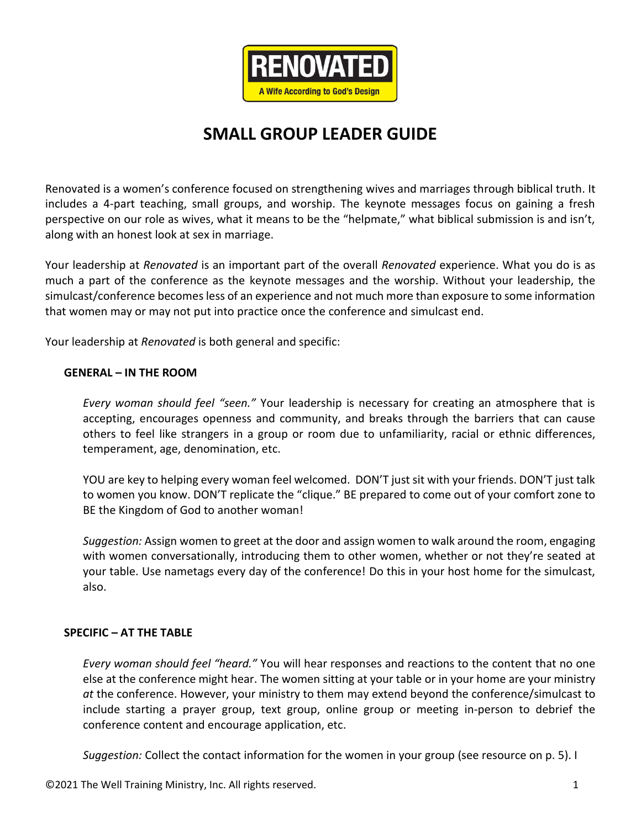

### **SMALL GROUP LEADER GUIDE**

Renovated is a women's conference focused on strengthening wives and marriages through biblical truth. It includes a 4-part teaching, small groups, and worship. The keynote messages focus on gaining a fresh perspective on our role as wives, what it means to be the "helpmate," what biblical submission is and isn't, along with an honest look at sex in marriage.

Your leadership at *Renovated* is an important part of the overall *Renovated* experience. What you do is as much a part of the conference as the keynote messages and the worship. Without your leadership, the simulcast/conference becomes less of an experience and not much more than exposure to some information that women may or may not put into practice once the conference and simulcast end.

Your leadership at *Renovated* is both general and specific:

#### **GENERAL – IN THE ROOM**

*Every woman should feel "seen."* Your leadership is necessary for creating an atmosphere that is accepting, encourages openness and community, and breaks through the barriers that can cause others to feel like strangers in a group or room due to unfamiliarity, racial or ethnic differences, temperament, age, denomination, etc.

YOU are key to helping every woman feel welcomed. DON'T just sit with your friends. DON'T just talk to women you know. DON'T replicate the "clique." BE prepared to come out of your comfort zone to BE the Kingdom of God to another woman!

*Suggestion:* Assign women to greet at the door and assign women to walk around the room, engaging with women conversationally, introducing them to other women, whether or not they're seated at your table. Use nametags every day of the conference! Do this in your host home for the simulcast, also.

#### **SPECIFIC – AT THE TABLE**

*Every woman should feel "heard."* You will hear responses and reactions to the content that no one else at the conference might hear. The women sitting at your table or in your home are your ministry *at* the conference. However, your ministry to them may extend beyond the conference/simulcast to include starting a prayer group, text group, online group or meeting in-person to debrief the conference content and encourage application, etc.

*Suggestion:* Collect the contact information for the women in your group (see resource on p. 5). I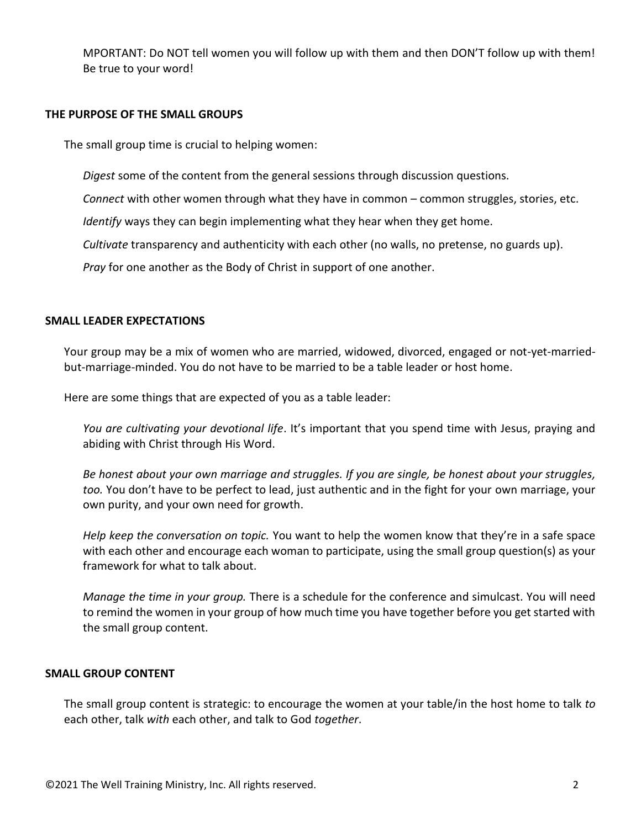MPORTANT: Do NOT tell women you will follow up with them and then DON'T follow up with them! Be true to your word!

#### **THE PURPOSE OF THE SMALL GROUPS**

The small group time is crucial to helping women:

*Digest* some of the content from the general sessions through discussion questions.

*Connect* with other women through what they have in common – common struggles, stories, etc.

*Identify* ways they can begin implementing what they hear when they get home.

*Cultivate* transparency and authenticity with each other (no walls, no pretense, no guards up).

*Pray* for one another as the Body of Christ in support of one another.

#### **SMALL LEADER EXPECTATIONS**

Your group may be a mix of women who are married, widowed, divorced, engaged or not-yet-marriedbut-marriage-minded. You do not have to be married to be a table leader or host home.

Here are some things that are expected of you as a table leader:

*You are cultivating your devotional life*. It's important that you spend time with Jesus, praying and abiding with Christ through His Word.

*Be honest about your own marriage and struggles. If you are single, be honest about your struggles, too.* You don't have to be perfect to lead, just authentic and in the fight for your own marriage, your own purity, and your own need for growth.

*Help keep the conversation on topic.* You want to help the women know that they're in a safe space with each other and encourage each woman to participate, using the small group question(s) as your framework for what to talk about.

*Manage the time in your group.* There is a schedule for the conference and simulcast. You will need to remind the women in your group of how much time you have together before you get started with the small group content.

#### **SMALL GROUP CONTENT**

The small group content is strategic: to encourage the women at your table/in the host home to talk *to* each other, talk *with* each other, and talk to God *together*.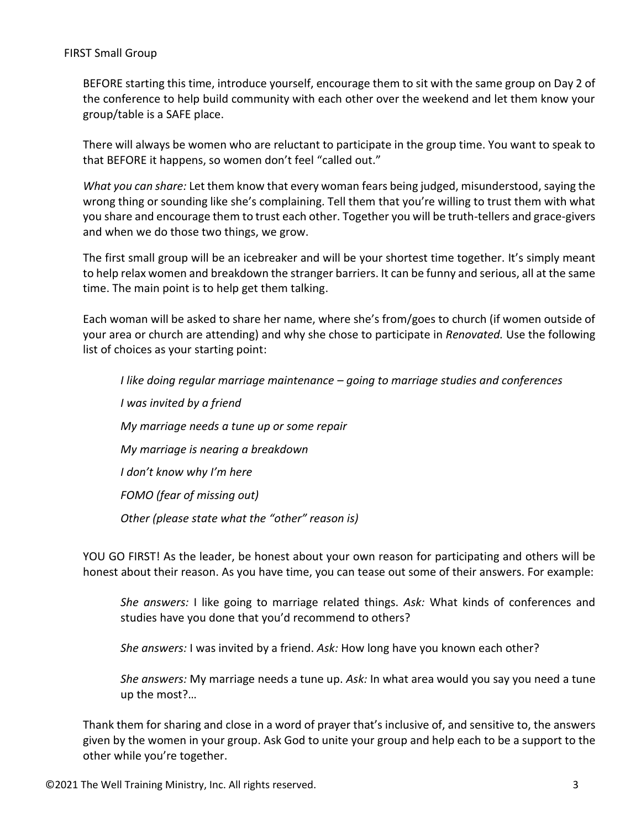#### FIRST Small Group

BEFORE starting this time, introduce yourself, encourage them to sit with the same group on Day 2 of the conference to help build community with each other over the weekend and let them know your group/table is a SAFE place.

There will always be women who are reluctant to participate in the group time. You want to speak to that BEFORE it happens, so women don't feel "called out."

*What you can share:* Let them know that every woman fears being judged, misunderstood, saying the wrong thing or sounding like she's complaining. Tell them that you're willing to trust them with what you share and encourage them to trust each other. Together you will be truth-tellers and grace-givers and when we do those two things, we grow.

The first small group will be an icebreaker and will be your shortest time together. It's simply meant to help relax women and breakdown the stranger barriers. It can be funny and serious, all at the same time. The main point is to help get them talking.

Each woman will be asked to share her name, where she's from/goes to church (if women outside of your area or church are attending) and why she chose to participate in *Renovated.* Use the following list of choices as your starting point:

*I like doing regular marriage maintenance – going to marriage studies and conferences I was invited by a friend My marriage needs a tune up or some repair My marriage is nearing a breakdown I don't know why I'm here FOMO (fear of missing out) Other (please state what the "other" reason is)*

YOU GO FIRST! As the leader, be honest about your own reason for participating and others will be honest about their reason. As you have time, you can tease out some of their answers. For example:

*She answers:* I like going to marriage related things. *Ask:* What kinds of conferences and studies have you done that you'd recommend to others?

*She answers:* I was invited by a friend. *Ask:* How long have you known each other?

*She answers:* My marriage needs a tune up. *Ask:* In what area would you say you need a tune up the most?…

Thank them for sharing and close in a word of prayer that's inclusive of, and sensitive to, the answers given by the women in your group. Ask God to unite your group and help each to be a support to the other while you're together.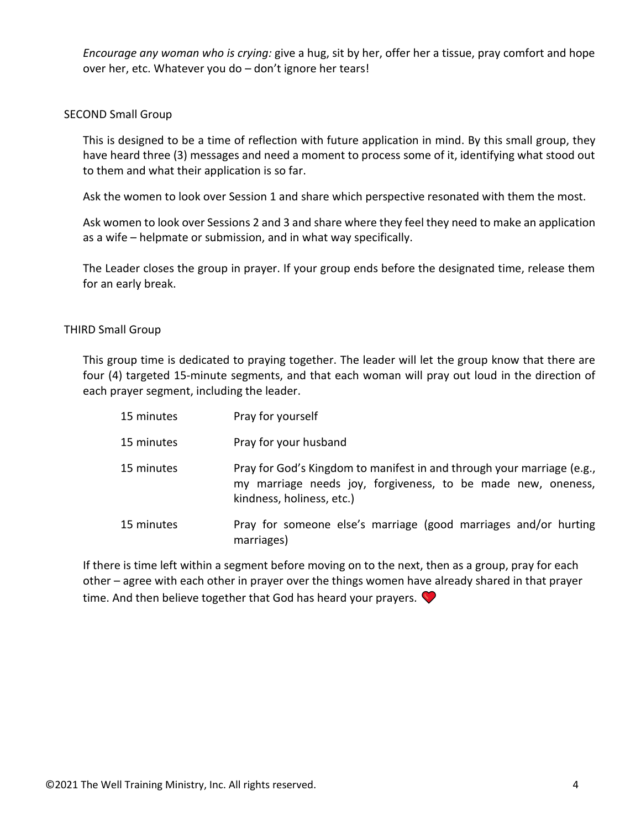*Encourage any woman who is crying:* give a hug, sit by her, offer her a tissue, pray comfort and hope over her, etc. Whatever you do – don't ignore her tears!

#### SECOND Small Group

This is designed to be a time of reflection with future application in mind. By this small group, they have heard three (3) messages and need a moment to process some of it, identifying what stood out to them and what their application is so far.

Ask the women to look over Session 1 and share which perspective resonated with them the most.

Ask women to look over Sessions 2 and 3 and share where they feel they need to make an application as a wife – helpmate or submission, and in what way specifically.

The Leader closes the group in prayer. If your group ends before the designated time, release them for an early break.

#### THIRD Small Group

This group time is dedicated to praying together. The leader will let the group know that there are four (4) targeted 15-minute segments, and that each woman will pray out loud in the direction of each prayer segment, including the leader.

| 15 minutes | Pray for yourself                                                                                                                                                   |
|------------|---------------------------------------------------------------------------------------------------------------------------------------------------------------------|
| 15 minutes | Pray for your husband                                                                                                                                               |
| 15 minutes | Pray for God's Kingdom to manifest in and through your marriage (e.g.,<br>my marriage needs joy, forgiveness, to be made new, oneness,<br>kindness, holiness, etc.) |
| 15 minutes | Pray for someone else's marriage (good marriages and/or hurting<br>marriages)                                                                                       |

If there is time left within a segment before moving on to the next, then as a group, pray for each other – agree with each other in prayer over the things women have already shared in that prayer time. And then believe together that God has heard your prayers.